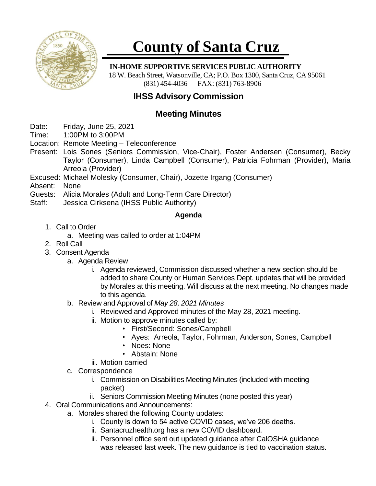

# **County of Santa Cruz**

#### **IN-HOME SUPPORTIVE SERVICES PUBLIC AUTHORITY**

18 W. Beach Street, Watsonville, CA; P.O. Box 1300, Santa Cruz, CA 95061 (831) 454-4036 FAX: (831) 763-8906

## **IHSS Advisory Commission**

### **Meeting Minutes**

- Date: Friday, June 25, 2021
- Time: 1:00PM to 3:00PM
- Location: Remote Meeting Teleconference
- Present: Lois Sones (Seniors Commission, Vice-Chair), Foster Andersen (Consumer), Becky Taylor (Consumer), Linda Campbell (Consumer), Patricia Fohrman (Provider), Maria Arreola (Provider)
- Excused: Michael Molesky (Consumer, Chair), Jozette Irgang (Consumer)
- Absent: None
- Guests: Alicia Morales (Adult and Long-Term Care Director)
- Staff: Jessica Cirksena (IHSS Public Authority)

#### **Agenda**

- 1. Call to Order
	- a. Meeting was called to order at 1:04PM
- 2. Roll Call
- 3. Consent Agenda
	- a. Agenda Review
		- i. Agenda reviewed, Commission discussed whether a new section should be added to share County or Human Services Dept. updates that will be provided by Morales at this meeting. Will discuss at the next meeting. No changes made to this agenda.
	- b. Review and Approval of *May 28, 2021 Minutes*
		- i. Reviewed and Approved minutes of the May 28, 2021 meeting.
		- ii. Motion to approve minutes called by:
			- First/Second: Sones/Campbell
			- Ayes: Arreola, Taylor, Fohrman, Anderson, Sones, Campbell
			- Noes: None
			- Abstain: None
		- iii. Motion carried
	- c. Correspondence
		- i. Commission on Disabilities Meeting Minutes (included with meeting packet)
		- ii. Seniors Commission Meeting Minutes (none posted this year)
- 4. Oral Communications and Announcements:
	- a. Morales shared the following County updates:
		- i. County is down to 54 active COVID cases, we've 206 deaths.
		- ii. Santacruzhealth.org has a new COVID dashboard.
		- iii. Personnel office sent out updated guidance after CalOSHA guidance was released last week. The new guidance is tied to vaccination status.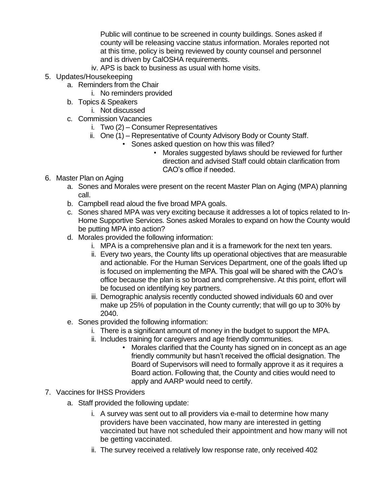Public will continue to be screened in county buildings. Sones asked if county will be releasing vaccine status information. Morales reported not at this time, policy is being reviewed by county counsel and personnel and is driven by CalOSHA requirements.

- iv. APS is back to business as usual with home visits.
- 5. Updates/Housekeeping
	- a. Reminders from the Chair
		- i. No reminders provided
	- b. Topics & Speakers
		- i. Not discussed
	- c. Commission Vacancies
		- i. Two (2) Consumer Representatives
		- ii. One (1) Representative of County Advisory Body or County Staff.
			- Sones asked question on how this was filled?
				- Morales suggested bylaws should be reviewed for further direction and advised Staff could obtain clarification from CAO's office if needed.
- 6. Master Plan on Aging
	- a. Sones and Morales were present on the recent Master Plan on Aging (MPA) planning call.
	- b. Campbell read aloud the five broad MPA goals.
	- c. Sones shared MPA was very exciting because it addresses a lot of topics related to In-Home Supportive Services. Sones asked Morales to expand on how the County would be putting MPA into action?
	- d. Morales provided the following information:
		- i. MPA is a comprehensive plan and it is a framework for the next ten years.
		- ii. Every two years, the County lifts up operational objectives that are measurable and actionable. For the Human Services Department, one of the goals lifted up is focused on implementing the MPA. This goal will be shared with the CAO's office because the plan is so broad and comprehensive. At this point, effort will be focused on identifying key partners.
		- iii. Demographic analysis recently conducted showed individuals 60 and over make up 25% of population in the County currently; that will go up to 30% by 2040.
	- e. Sones provided the following information:
		- i. There is a significant amount of money in the budget to support the MPA.
		- ii. Includes training for caregivers and age friendly communities.
			- Morales clarified that the County has signed on in concept as an age friendly community but hasn't received the official designation. The Board of Supervisors will need to formally approve it as it requires a Board action. Following that, the County and cities would need to apply and AARP would need to certify.
- 7. Vaccines for IHSS Providers
	- a. Staff provided the following update:
		- i. A survey was sent out to all providers via e-mail to determine how many providers have been vaccinated, how many are interested in getting vaccinated but have not scheduled their appointment and how many will not be getting vaccinated.
		- ii. The survey received a relatively low response rate, only received 402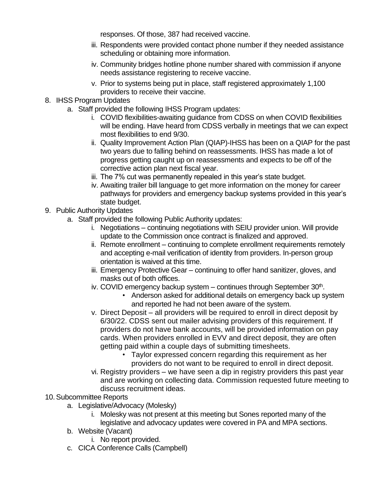responses. Of those, 387 had received vaccine.

- iii. Respondents were provided contact phone number if they needed assistance scheduling or obtaining more information.
- iv. Community bridges hotline phone number shared with commission if anyone needs assistance registering to receive vaccine.
- v. Prior to systems being put in place, staff registered approximately 1,100 providers to receive their vaccine.
- 8. IHSS Program Updates
	- a. Staff provided the following IHSS Program updates:
		- i. COVID flexibilities-awaiting guidance from CDSS on when COVID flexibilities will be ending. Have heard from CDSS verbally in meetings that we can expect most flexibilities to end 9/30.
		- ii. Quality Improvement Action Plan (QIAP)-IHSS has been on a QIAP for the past two years due to falling behind on reassessments. IHSS has made a lot of progress getting caught up on reassessments and expects to be off of the corrective action plan next fiscal year.
		- iii. The 7% cut was permanently repealed in this year's state budget.
		- iv. Awaiting trailer bill language to get more information on the money for career pathways for providers and emergency backup systems provided in this year's state budget.
- 9. Public Authority Updates
	- a. Staff provided the following Public Authority updates:
		- i. Negotiations continuing negotiations with SEIU provider union. Will provide update to the Commission once contract is finalized and approved.
		- ii. Remote enrollment continuing to complete enrollment requirements remotely and accepting e-mail verification of identity from providers. In-person group orientation is waived at this time.
		- iii. Emergency Protective Gear continuing to offer hand sanitizer, gloves, and masks out of both offices.
		- iv. COVID emergency backup system continues through September 30<sup>th</sup>.
			- Anderson asked for additional details on emergency back up system and reported he had not been aware of the system.
		- v. Direct Deposit all providers will be required to enroll in direct deposit by 6/30/22. CDSS sent out mailer advising providers of this requirement. If providers do not have bank accounts, will be provided information on pay cards. When providers enrolled in EVV and direct deposit, they are often getting paid within a couple days of submitting timesheets.
			- Taylor expressed concern regarding this requirement as her providers do not want to be required to enroll in direct deposit.
		- vi. Registry providers we have seen a dip in registry providers this past year and are working on collecting data. Commission requested future meeting to discuss recruitment ideas.
- 10.Subcommittee Reports
	- a. Legislative/Advocacy (Molesky)
		- i. Molesky was not present at this meeting but Sones reported many of the legislative and advocacy updates were covered in PA and MPA sections.
	- b. Website (Vacant)
		- i. No report provided.
	- c. CICA Conference Calls (Campbell)